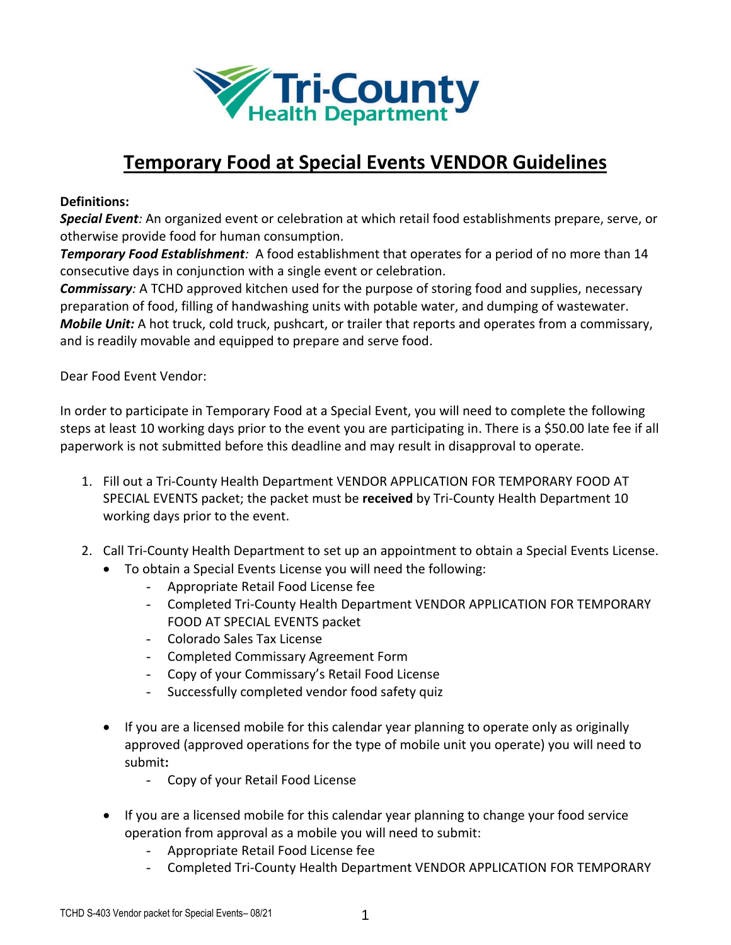

# **Temporary Food at Special Events VENDOR Guidelines**

### **Definitions:**

*Special Event:* An organized event or celebration at which retail food establishments prepare, serve, or otherwise provide food for human consumption.

*Temporary Food Establishment:* A food establishment that operates for a period of no more than 14 consecutive days in conjunction with a single event or celebration.

*Commissary:* A TCHD approved kitchen used for the purpose of storing food and supplies, necessary preparation of food, filling of handwashing units with potable water, and dumping of wastewater. *Mobile Unit:* A hot truck, cold truck, pushcart, or trailer that reports and operates from a commissary, and is readily movable and equipped to prepare and serve food.

Dear Food Event Vendor:

In order to participate in Temporary Food at a Special Event, you will need to complete the following steps at least 10 working days prior to the event you are participating in. There is a \$50.00 late fee if all paperwork is not submitted before this deadline and may result in disapproval to operate.

- 1. Fill out a Tri-County Health Department VENDOR APPLICATION FOR TEMPORARY FOOD AT SPECIAL EVENTS packet; the packet must be **received** by Tri-County Health Department 10 working days prior to the event.
- 2. Call Tri-County Health Department to set up an appointment to obtain a Special Events License.
	- To obtain a Special Events License you will need the following:
		- Appropriate Retail Food License fee
		- Completed Tri-County Health Department VENDOR APPLICATION FOR TEMPORARY FOOD AT SPECIAL EVENTS packet
		- Colorado Sales Tax License
		- Completed Commissary Agreement Form
		- Copy of your Commissary's Retail Food License
		- Successfully completed vendor food safety quiz
	- If you are a licensed mobile for this calendar year planning to operate only as originally approved (approved operations for the type of mobile unit you operate) you will need to submit**:**
		- Copy of your Retail Food License
	- If you are a licensed mobile for this calendar year planning to change your food service operation from approval as a mobile you will need to submit:
		- Appropriate Retail Food License fee
		- Completed Tri-County Health Department VENDOR APPLICATION FOR TEMPORARY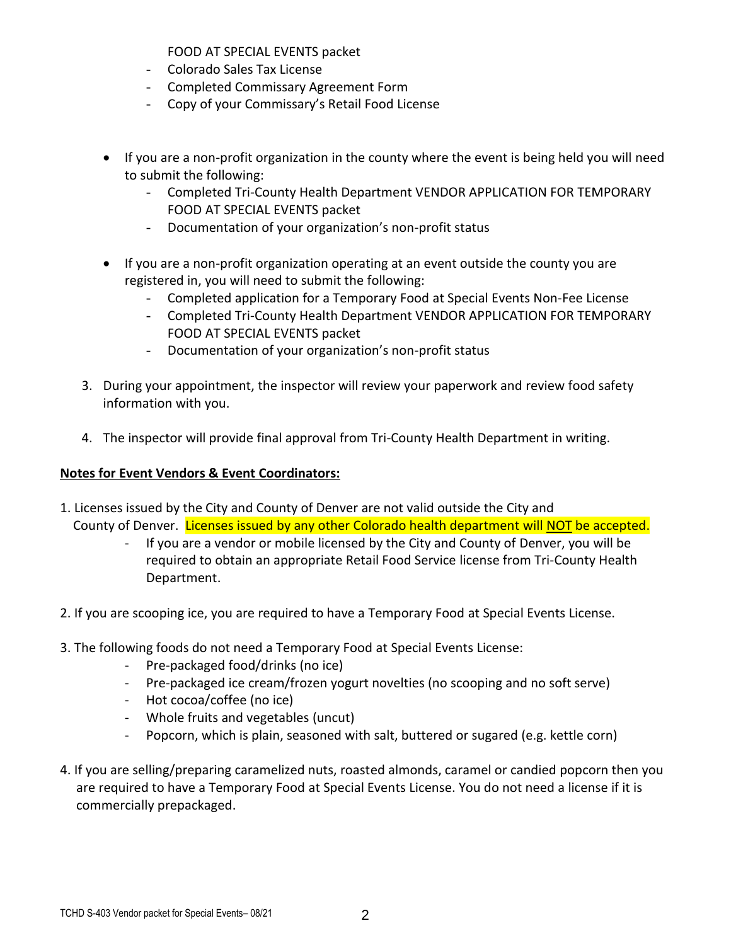FOOD AT SPECIAL EVENTS packet

- Colorado Sales Tax License
- Completed Commissary Agreement Form
- Copy of your Commissary's Retail Food License
- If you are a non-profit organization in the county where the event is being held you will need to submit the following:
	- Completed Tri-County Health Department VENDOR APPLICATION FOR TEMPORARY FOOD AT SPECIAL EVENTS packet
	- Documentation of your organization's non-profit status
- If you are a non-profit organization operating at an event outside the county you are registered in, you will need to submit the following:
	- Completed application for a Temporary Food at Special Events Non-Fee License
	- Completed Tri-County Health Department VENDOR APPLICATION FOR TEMPORARY FOOD AT SPECIAL EVENTS packet
	- Documentation of your organization's non-profit status
- 3. During your appointment, the inspector will review your paperwork and review food safety information with you.
- 4. The inspector will provide final approval from Tri-County Health Department in writing.

# **Notes for Event Vendors & Event Coordinators:**

- 1. Licenses issued by the City and County of Denver are not valid outside the City and County of Denver.Licenses issued by any other Colorado health department will NOT be accepted.
	- If you are a vendor or mobile licensed by the City and County of Denver, you will be required to obtain an appropriate Retail Food Service license from Tri-County Health Department.
- 2. If you are scooping ice, you are required to have a Temporary Food at Special Events License.
- 3. The following foods do not need a Temporary Food at Special Events License:
	- Pre-packaged food/drinks (no ice)
	- Pre-packaged ice cream/frozen yogurt novelties (no scooping and no soft serve)
	- Hot cocoa/coffee (no ice)
	- Whole fruits and vegetables (uncut)
	- Popcorn, which is plain, seasoned with salt, buttered or sugared (e.g. kettle corn)
- 4. If you are selling/preparing caramelized nuts, roasted almonds, caramel or candied popcorn then you are required to have a Temporary Food at Special Events License. You do not need a license if it is commercially prepackaged.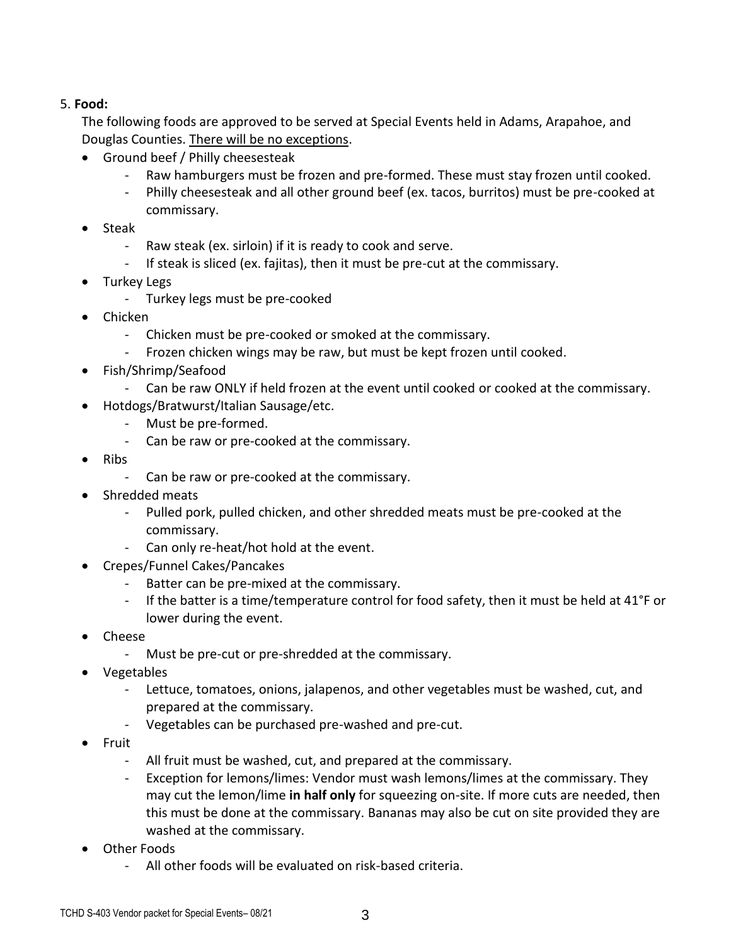## 5. **Food:**

The following foods are approved to be served at Special Events held in Adams, Arapahoe, and Douglas Counties. There will be no exceptions.

- Ground beef / Philly cheesesteak
	- Raw hamburgers must be frozen and pre-formed. These must stay frozen until cooked.
	- Philly cheesesteak and all other ground beef (ex. tacos, burritos) must be pre-cooked at commissary.
- Steak
	- Raw steak (ex. sirloin) if it is ready to cook and serve.
	- If steak is sliced (ex. fajitas), then it must be pre-cut at the commissary.
- Turkey Legs
	- Turkey legs must be pre-cooked
- Chicken
	- Chicken must be pre-cooked or smoked at the commissary.
	- Frozen chicken wings may be raw, but must be kept frozen until cooked.
- Fish/Shrimp/Seafood
	- Can be raw ONLY if held frozen at the event until cooked or cooked at the commissary.
- Hotdogs/Bratwurst/Italian Sausage/etc.
	- Must be pre-formed.
	- Can be raw or pre-cooked at the commissary.
- Ribs
	- Can be raw or pre-cooked at the commissary.
- Shredded meats
	- Pulled pork, pulled chicken, and other shredded meats must be pre-cooked at the commissary.
	- Can only re-heat/hot hold at the event.
- Crepes/Funnel Cakes/Pancakes
	- Batter can be pre-mixed at the commissary.
	- If the batter is a time/temperature control for food safety, then it must be held at 41°F or lower during the event.
- Cheese
	- Must be pre-cut or pre-shredded at the commissary.
- Vegetables
	- Lettuce, tomatoes, onions, jalapenos, and other vegetables must be washed, cut, and prepared at the commissary.
	- Vegetables can be purchased pre-washed and pre-cut.
- Fruit
	- All fruit must be washed, cut, and prepared at the commissary.
	- Exception for lemons/limes: Vendor must wash lemons/limes at the commissary. They may cut the lemon/lime **in half only** for squeezing on-site. If more cuts are needed, then this must be done at the commissary. Bananas may also be cut on site provided they are washed at the commissary.
- Other Foods
	- All other foods will be evaluated on risk-based criteria.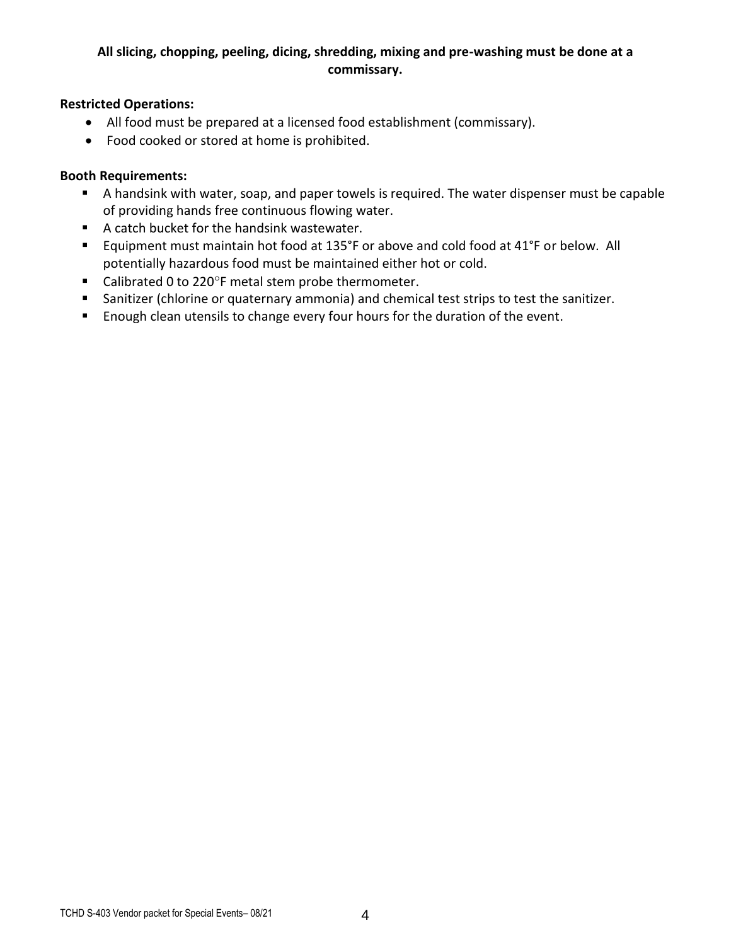# **All slicing, chopping, peeling, dicing, shredding, mixing and pre-washing must be done at a commissary.**

#### **Restricted Operations:**

- All food must be prepared at a licensed food establishment (commissary).
- Food cooked or stored at home is prohibited.

#### **Booth Requirements:**

- A handsink with water, soap, and paper towels is required. The water dispenser must be capable of providing hands free continuous flowing water.
- A catch bucket for the handsink wastewater.
- Equipment must maintain hot food at 135°F or above and cold food at 41°F or below. All potentially hazardous food must be maintained either hot or cold.
- Calibrated 0 to 220°F metal stem probe thermometer.
- Sanitizer (chlorine or quaternary ammonia) and chemical test strips to test the sanitizer.
- **Enough clean utensils to change every four hours for the duration of the event.**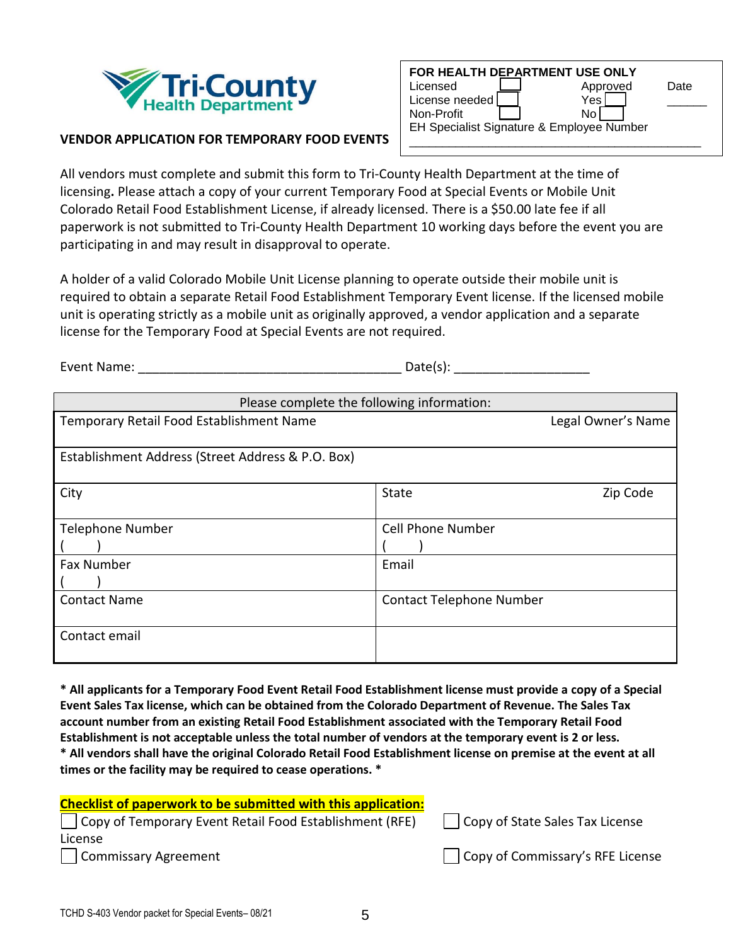

| FOR HEALTH DEPARTMENT USE ONLY            |          |      |
|-------------------------------------------|----------|------|
| Licensed                                  | Approved | Date |
| License needed!                           | Yes      |      |
| Non-Profit                                | N٥       |      |
| EH Specialist Signature & Employee Number |          |      |
|                                           |          |      |

#### **VENDOR APPLICATION FOR TEMPORARY FOOD EVENTS**

All vendors must complete and submit this form to Tri-County Health Department at the time of licensing**.** Please attach a copy of your current Temporary Food at Special Events or Mobile Unit Colorado Retail Food Establishment License, if already licensed. There is a \$50.00 late fee if all paperwork is not submitted to Tri-County Health Department 10 working days before the event you are participating in and may result in disapproval to operate.

A holder of a valid Colorado Mobile Unit License planning to operate outside their mobile unit is required to obtain a separate Retail Food Establishment Temporary Event license. If the licensed mobile unit is operating strictly as a mobile unit as originally approved, a vendor application and a separate license for the Temporary Food at Special Events are not required.

Event Name: The contract of the contract of the Date(s):  $Date(s)$ :

| Please complete the following information:        |                                 |
|---------------------------------------------------|---------------------------------|
| Temporary Retail Food Establishment Name          | Legal Owner's Name              |
|                                                   |                                 |
| Establishment Address (Street Address & P.O. Box) |                                 |
|                                                   |                                 |
| City                                              | <b>State</b><br>Zip Code        |
|                                                   |                                 |
| <b>Telephone Number</b>                           | <b>Cell Phone Number</b>        |
|                                                   |                                 |
| <b>Fax Number</b>                                 | Email                           |
|                                                   |                                 |
| <b>Contact Name</b>                               | <b>Contact Telephone Number</b> |
|                                                   |                                 |
| Contact email                                     |                                 |
|                                                   |                                 |

**\* All applicants for a Temporary Food Event Retail Food Establishment license must provide a copy of a Special Event Sales Tax license, which can be obtained from the Colorado Department of Revenue. The Sales Tax account number from an existing Retail Food Establishment associated with the Temporary Retail Food Establishment is not acceptable unless the total number of vendors at the temporary event is 2 or less. \* All vendors shall have the original Colorado Retail Food Establishment license on premise at the event at all times or the facility may be required to cease operations. \***

| <b>Checklist of paperwork to be submitted with this application:</b>    |                                  |
|-------------------------------------------------------------------------|----------------------------------|
| $\vert$ $\vert$ Copy of Temporary Event Retail Food Establishment (RFE) | Copy of State Sales Tax License  |
| License                                                                 |                                  |
| Commissary Agreement                                                    | Copy of Commissary's RFE License |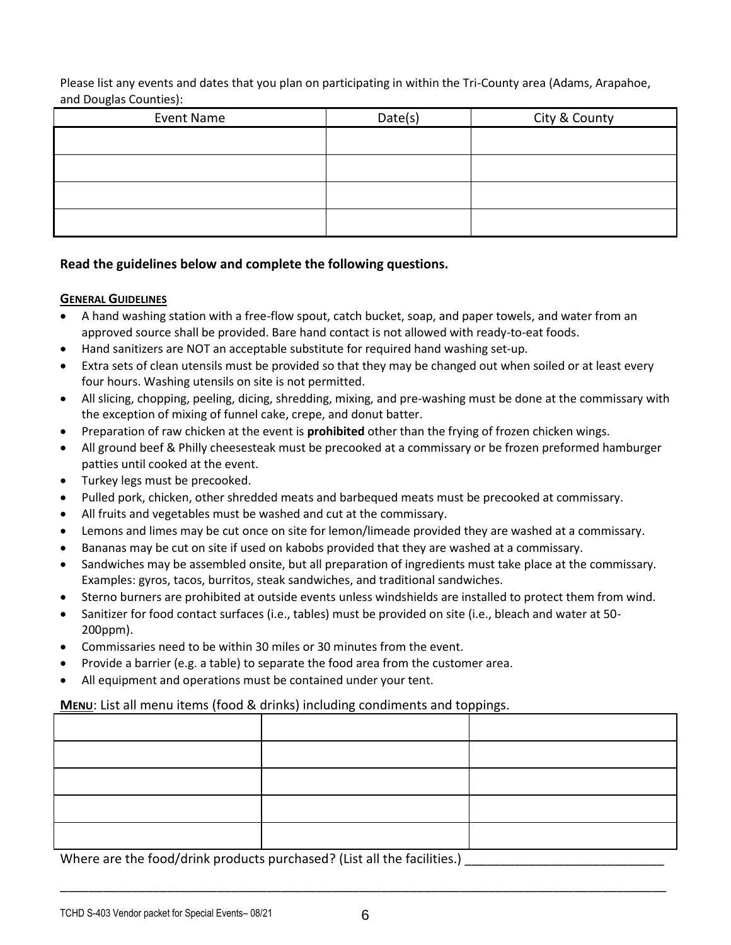Please list any events and dates that you plan on participating in within the Tri-County area (Adams, Arapahoe, and Douglas Counties):

| Event Name | Date(s) | City & County |
|------------|---------|---------------|
|            |         |               |
|            |         |               |
|            |         |               |
|            |         |               |

#### **Read the guidelines below and complete the following questions.**

#### **GENERAL GUIDELINES**

- A hand washing station with a free-flow spout, catch bucket, soap, and paper towels, and water from an approved source shall be provided. Bare hand contact is not allowed with ready-to-eat foods.
- Hand sanitizers are NOT an acceptable substitute for required hand washing set-up.
- Extra sets of clean utensils must be provided so that they may be changed out when soiled or at least every four hours. Washing utensils on site is not permitted.
- All slicing, chopping, peeling, dicing, shredding, mixing, and pre-washing must be done at the commissary with the exception of mixing of funnel cake, crepe, and donut batter.
- Preparation of raw chicken at the event is **prohibited** other than the frying of frozen chicken wings.
- All ground beef & Philly cheesesteak must be precooked at a commissary or be frozen preformed hamburger patties until cooked at the event.
- Turkey legs must be precooked.
- Pulled pork, chicken, other shredded meats and barbequed meats must be precooked at commissary.
- All fruits and vegetables must be washed and cut at the commissary.
- Lemons and limes may be cut once on site for lemon/limeade provided they are washed at a commissary.
- Bananas may be cut on site if used on kabobs provided that they are washed at a commissary.
- Sandwiches may be assembled onsite, but all preparation of ingredients must take place at the commissary. Examples: gyros, tacos, burritos, steak sandwiches, and traditional sandwiches.
- Sterno burners are prohibited at outside events unless windshields are installed to protect them from wind.
- Sanitizer for food contact surfaces (i.e., tables) must be provided on site (i.e., bleach and water at 50- 200ppm).
- Commissaries need to be within 30 miles or 30 minutes from the event.
- Provide a barrier (e.g. a table) to separate the food area from the customer area.
- All equipment and operations must be contained under your tent.

#### **MENU**: List all menu items (food & drinks) including condiments and toppings.

Where are the food/drink products purchased? (List all the facilities.)

\_\_\_\_\_\_\_\_\_\_\_\_\_\_\_\_\_\_\_\_\_\_\_\_\_\_\_\_\_\_\_\_\_\_\_\_\_\_\_\_\_\_\_\_\_\_\_\_\_\_\_\_\_\_\_\_\_\_\_\_\_\_\_\_\_\_\_\_\_\_\_\_\_\_\_\_\_\_\_\_\_\_\_\_\_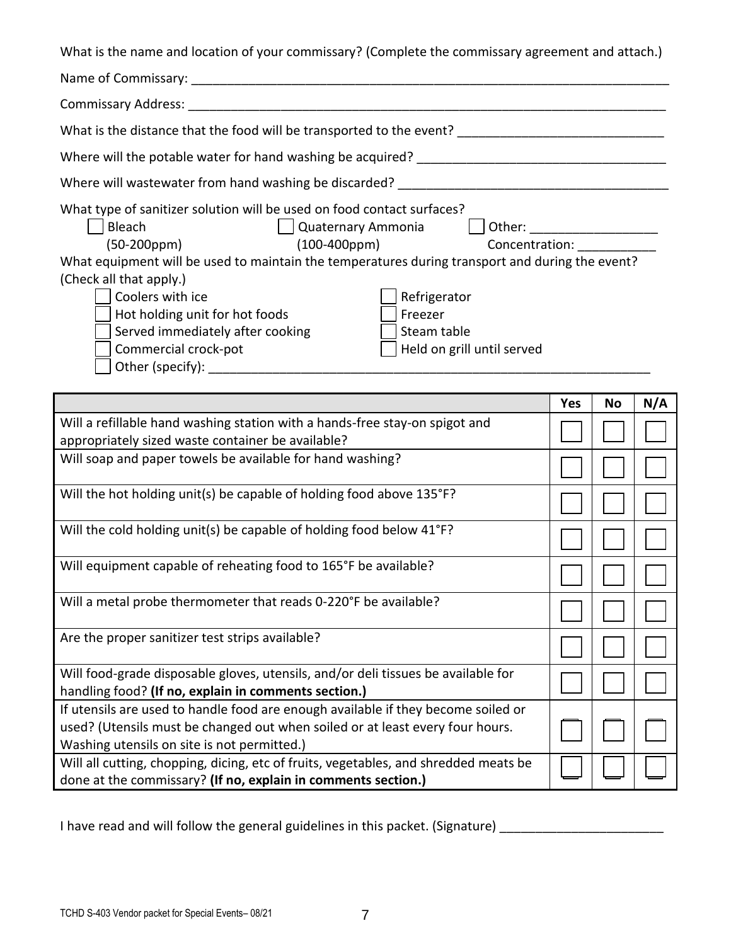What is the name and location of your commissary? (Complete the commissary agreement and attach.)

|                                                                                                 | <b>Yes</b> | No | N/A |
|-------------------------------------------------------------------------------------------------|------------|----|-----|
|                                                                                                 |            |    |     |
| Held on grill until served<br>Commercial crock-pot                                              |            |    |     |
| Served immediately after cooking<br>Steam table                                                 |            |    |     |
| Hot holding unit for hot foods<br>Freezer                                                       |            |    |     |
| Coolers with ice<br>Refrigerator                                                                |            |    |     |
| (Check all that apply.)                                                                         |            |    |     |
| What equipment will be used to maintain the temperatures during transport and during the event? |            |    |     |
| $(100 - 400$ ppm $)$                                                                            |            |    |     |
|                                                                                                 |            |    |     |
| What type of sanitizer solution will be used on food contact surfaces?                          |            |    |     |
| Where will wastewater from hand washing be discarded? ___________________________               |            |    |     |
|                                                                                                 |            |    |     |
| What is the distance that the food will be transported to the event?                            |            |    |     |
|                                                                                                 |            |    |     |
|                                                                                                 |            |    |     |
|                                                                                                 |            |    |     |

|                                                                                                                                                                                                                   | 1 es | IVΟ | IV/A |
|-------------------------------------------------------------------------------------------------------------------------------------------------------------------------------------------------------------------|------|-----|------|
| Will a refillable hand washing station with a hands-free stay-on spigot and<br>appropriately sized waste container be available?                                                                                  |      |     |      |
| Will soap and paper towels be available for hand washing?                                                                                                                                                         |      |     |      |
| Will the hot holding unit(s) be capable of holding food above 135°F?                                                                                                                                              |      |     |      |
| Will the cold holding unit(s) be capable of holding food below 41°F?                                                                                                                                              |      |     |      |
| Will equipment capable of reheating food to 165°F be available?                                                                                                                                                   |      |     |      |
| Will a metal probe thermometer that reads 0-220°F be available?                                                                                                                                                   |      |     |      |
| Are the proper sanitizer test strips available?                                                                                                                                                                   |      |     |      |
| Will food-grade disposable gloves, utensils, and/or deli tissues be available for<br>handling food? (If no, explain in comments section.)                                                                         |      |     |      |
| If utensils are used to handle food are enough available if they become soiled or<br>used? (Utensils must be changed out when soiled or at least every four hours.<br>Washing utensils on site is not permitted.) |      |     |      |
| Will all cutting, chopping, dicing, etc of fruits, vegetables, and shredded meats be<br>done at the commissary? (If no, explain in comments section.)                                                             |      |     |      |

I have read and will follow the general guidelines in this packet. (Signature) \_\_\_\_\_\_\_\_\_\_\_\_\_\_\_\_\_\_\_\_\_\_\_\_\_\_\_\_\_\_\_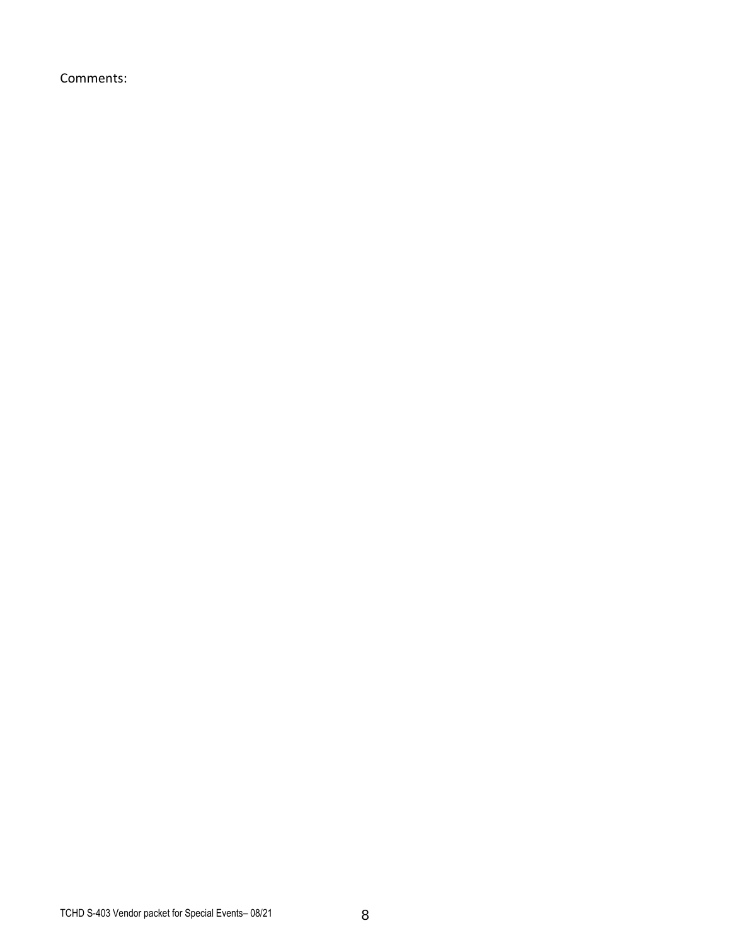Comments: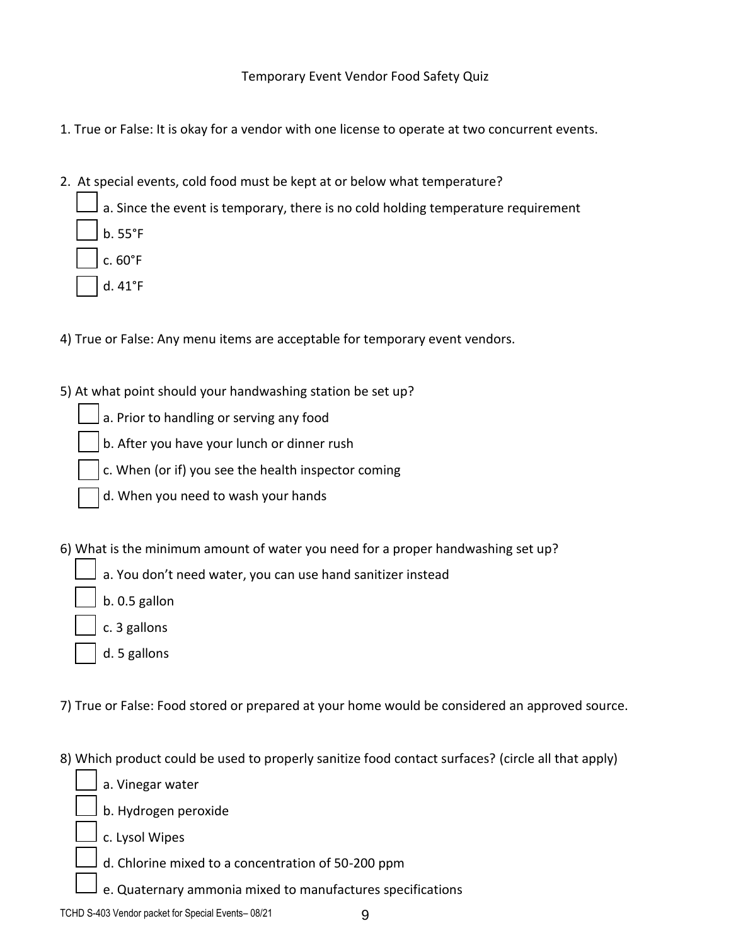Temporary Event Vendor Food Safety Quiz

- 1. True or False: It is okay for a vendor with one license to operate at two concurrent events.
- 2. At special events, cold food must be kept at or below what temperature?
	- a. Since the event is temporary, there is no cold holding temperature requirement b. 55°F c. 60°F
		- d. 41°F
- 4) True or False: Any menu items are acceptable for temporary event vendors.
- 5) At what point should your handwashing station be set up?
	- a. Prior to handling or serving any food
	- b. After you have your lunch or dinner rush
	- c. When (or if) you see the health inspector coming
	- d. When you need to wash your hands
- 6) What is the minimum amount of water you need for a proper handwashing set up?
	- a. You don't need water, you can use hand sanitizer instead
	- b. 0.5 gallon
	- c. 3 gallons
	- d. 5 gallons
- 7) True or False: Food stored or prepared at your home would be considered an approved source.
- 8) Which product could be used to properly sanitize food contact surfaces? (circle all that apply)
	- a. Vinegar water
	- b. Hydrogen peroxide
	- c. Lysol Wipes
	- d. Chlorine mixed to a concentration of 50-200 ppm
	- e. Quaternary ammonia mixed to manufactures specifications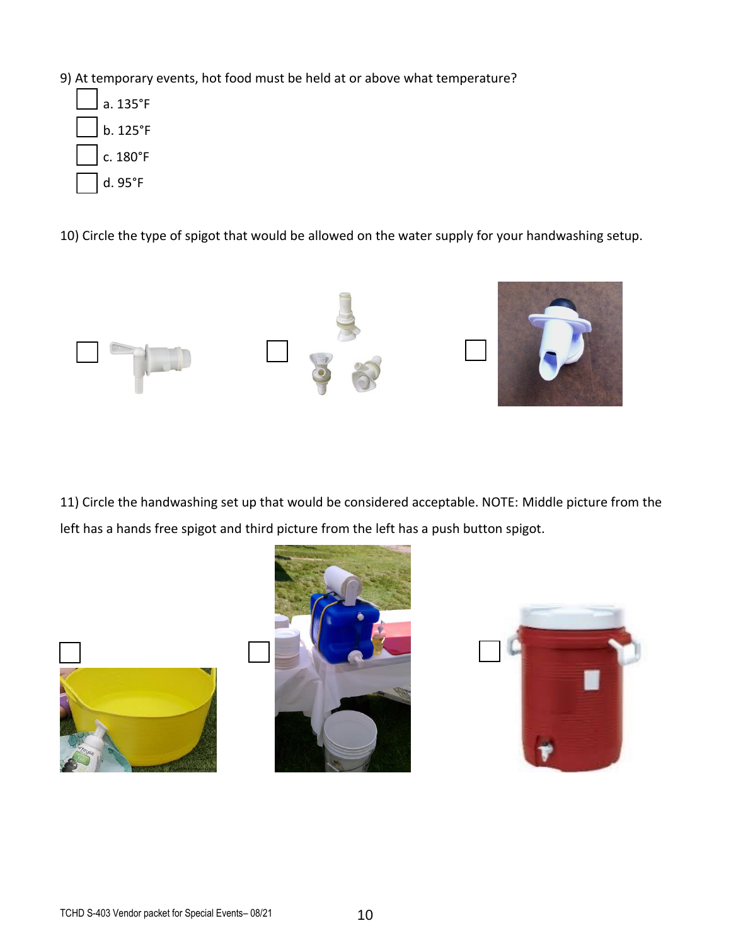- 9) At temporary events, hot food must be held at or above what temperature?
	- a. 135°F b. 125°F c. 180°F d. 95°F

10) Circle the type of spigot that would be allowed on the water supply for your handwashing setup.



11) Circle the handwashing set up that would be considered acceptable. NOTE: Middle picture from the left has a hands free spigot and third picture from the left has a push button spigot.